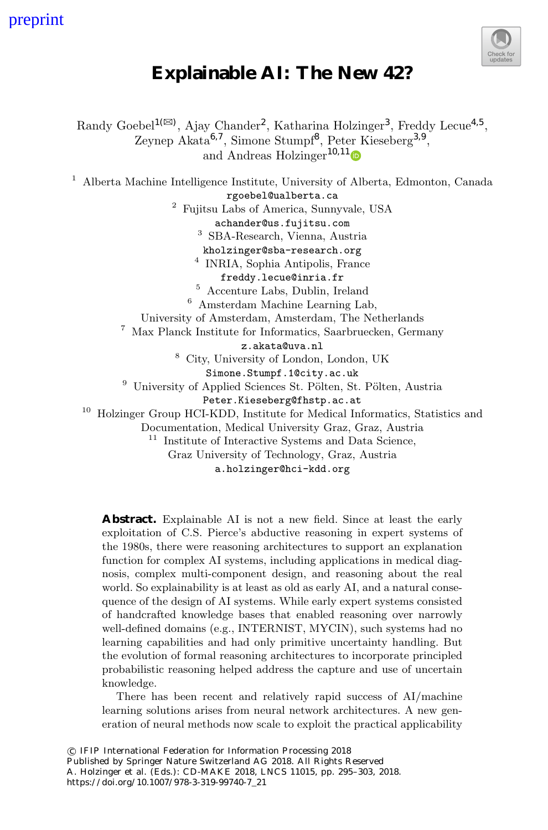# preprint



# **Explainable AI: The New 42?**

Randy Goebel<sup>1( $\boxtimes$ )</sup>, Ajay Chander<sup>2</sup>, Katharina Holzinger<sup>3</sup>, Freddy Lecue<sup>4,5</sup>, Zeynep Akata<sup>6,7</sup>, Simone Stumpf<sup>8</sup>, Peter Kieseberg<sup>3,9</sup>, and Andreas Holzinger<sup>[1](http://orcid.org/0000-0002-6786-5194)0,11</sup> $\bullet$ <sup>1</sup> Alberta Machine Intelligence Institute, University of Alberta, Edmonton, Canada rgoebel@ualberta.ca <sup>2</sup> Fujitsu Labs of America, Sunnyvale, USA achander@us.fujitsu.com <sup>3</sup> SBA-Research, Vienna, Austria kholzinger@sba-research.org <sup>4</sup> INRIA, Sophia Antipolis, France freddy.lecue@inria.fr <sup>5</sup> Accenture Labs, Dublin, Ireland <sup>6</sup> Amsterdam Machine Learning Lab, University of Amsterdam, Amsterdam, The Netherlands <sup>7</sup> Max Planck Institute for Informatics, Saarbruecken, Germany z.akata@uva.nl <sup>8</sup> City, University of London, London, UK Simone.Stumpf.1@city.ac.uk  $9$  University of Applied Sciences St. Pölten, St. Pölten, Austria Peter.Kieseberg@fhstp.ac.at <sup>10</sup> Holzinger Group HCI-KDD, Institute for Medical Informatics, Statistics and Documentation, Medical University Graz, Graz, Austria <sup>11</sup> Institute of Interactive Systems and Data Science, Graz University of Technology, Graz, Austria a.holzinger@hci-kdd.org

**Abstract.** Explainable AI is not a new field. Since at least the early exploitation of C.S. Pierce's abductive reasoning in expert systems of the 1980s, there were reasoning architectures to support an explanation function for complex AI systems, including applications in medical diagnosis, complex multi-component design, and reasoning about the real world. So explainability is at least as old as early AI, and a natural consequence of the design of AI systems. While early expert systems consisted of handcrafted knowledge bases that enabled reasoning over narrowly well-defined domains (e.g., INTERNIST, MYCIN), such systems had no learning capabilities and had only primitive uncertainty handling. But the evolution of formal reasoning architectures to incorporate principled probabilistic reasoning helped address the capture and use of uncertain knowledge.

There has been recent and relatively rapid success of AI/machine learning solutions arises from neural network architectures. A new generation of neural methods now scale to exploit the practical applicability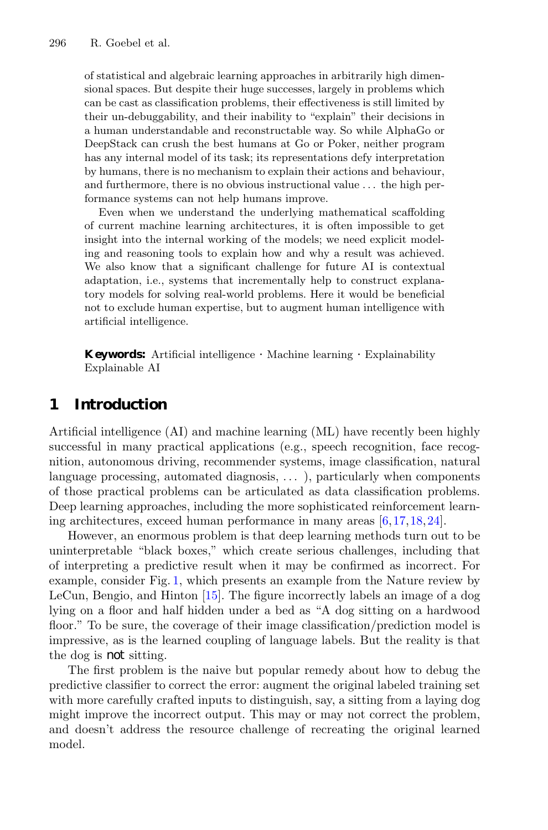of statistical and algebraic learning approaches in arbitrarily high dimensional spaces. But despite their huge successes, largely in problems which can be cast as classification problems, their effectiveness is still limited by their un-debuggability, and their inability to "explain" their decisions in a human understandable and reconstructable way. So while AlphaGo or DeepStack can crush the best humans at Go or Poker, neither program has any internal model of its task; its representations defy interpretation by humans, there is no mechanism to explain their actions and behaviour, and furthermore, there is no obvious instructional value . . . the high performance systems can not help humans improve.

Even when we understand the underlying mathematical scaffolding of current machine learning architectures, it is often impossible to get insight into the internal working of the models; we need explicit modeling and reasoning tools to explain how and why a result was achieved. We also know that a significant challenge for future AI is contextual adaptation, i.e., systems that incrementally help to construct explanatory models for solving real-world problems. Here it would be beneficial not to exclude human expertise, but to augment human intelligence with artificial intelligence.

**Keywords:** Artificial intelligence *·* Machine learning *·* Explainability Explainable AI

## **1 Introduction**

Artificial intelligence (AI) and machine learning (ML) have recently been highly successful in many practical applications (e.g., speech recognition, face recognition, autonomous driving, recommender systems, image classification, natural language processing, automated diagnosis,  $\dots$ ), particularly when components of those practical problems can be articulated as data classification problems. Deep learning approaches, including the more sophisticated reinforcement learning architectures, exceed human performance in many areas [\[6](#page-8-0)[,17](#page-8-1)[,18](#page-8-2),[24\]](#page-8-3).

However, an enormous problem is that deep learning methods turn out to be uninterpretable "black boxes," which create serious challenges, including that of interpreting a predictive result when it may be confirmed as incorrect. For example, consider Fig. [1,](#page-2-0) which presents an example from the Nature review by LeCun, Bengio, and Hinton [\[15\]](#page-8-4). The figure incorrectly labels an image of a dog lying on a floor and half hidden under a bed as "A dog sitting on a hardwood floor." To be sure, the coverage of their image classification/prediction model is impressive, as is the learned coupling of language labels. But the reality is that the dog is *not* sitting.

The first problem is the naive but popular remedy about how to debug the predictive classifier to correct the error: augment the original labeled training set with more carefully crafted inputs to distinguish, say, a sitting from a laying dog might improve the incorrect output. This may or may not correct the problem, and doesn't address the resource challenge of recreating the original learned model.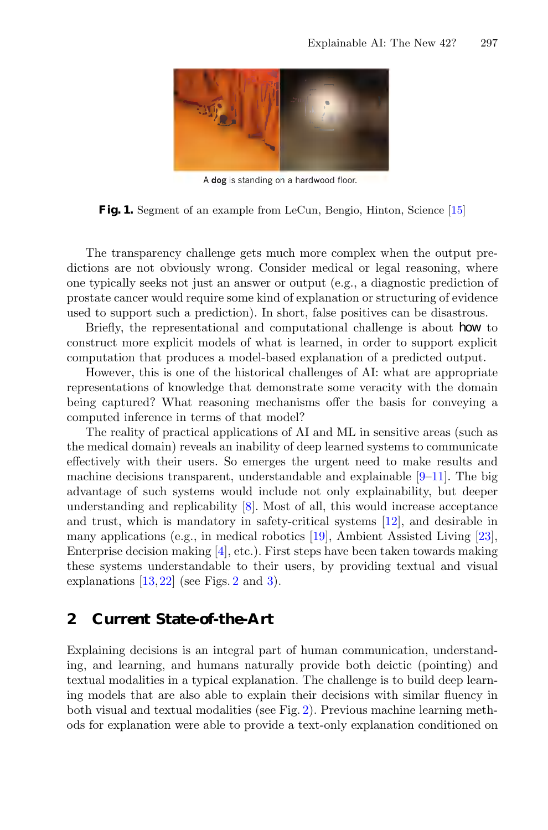

A dog is standing on a hardwood floor.

<span id="page-2-0"></span>Fig. 1. Segment of an example from LeCun, Bengio, Hinton, Science [\[15](#page-8-4)]

The transparency challenge gets much more complex when the output predictions are not obviously wrong. Consider medical or legal reasoning, where one typically seeks not just an answer or output (e.g., a diagnostic prediction of prostate cancer would require some kind of explanation or structuring of evidence used to support such a prediction). In short, false positives can be disastrous.

Briefly, the representational and computational challenge is about *how* to construct more explicit models of what is learned, in order to support explicit computation that produces a model-based explanation of a predicted output.

However, this is one of the historical challenges of AI: what are appropriate representations of knowledge that demonstrate some veracity with the domain being captured? What reasoning mechanisms offer the basis for conveying a computed inference in terms of that model?

The reality of practical applications of AI and ML in sensitive areas (such as the medical domain) reveals an inability of deep learned systems to communicate effectively with their users. So emerges the urgent need to make results and machine decisions transparent, understandable and explainable [\[9](#page-8-5)[–11](#page-8-6)]. The big advantage of such systems would include not only explainability, but deeper understanding and replicability [\[8\]](#page-8-7). Most of all, this would increase acceptance and trust, which is mandatory in safety-critical systems [\[12\]](#page-8-8), and desirable in many applications (e.g., in medical robotics [\[19\]](#page-8-9), Ambient Assisted Living [\[23\]](#page-8-10), Enterprise decision making [\[4\]](#page-7-0), etc.). First steps have been taken towards making these systems understandable to their users, by providing textual and visual explanations  $[13, 22]$  $[13, 22]$  $[13, 22]$  (see Figs. [2](#page-3-0) and [3\)](#page-3-1).

#### **2 Current State-of-the-Art**

Explaining decisions is an integral part of human communication, understanding, and learning, and humans naturally provide both deictic (pointing) and textual modalities in a typical explanation. The challenge is to build deep learning models that are also able to explain their decisions with similar fluency in both visual and textual modalities (see Fig. [2\)](#page-3-0). Previous machine learning methods for explanation were able to provide a text-only explanation conditioned on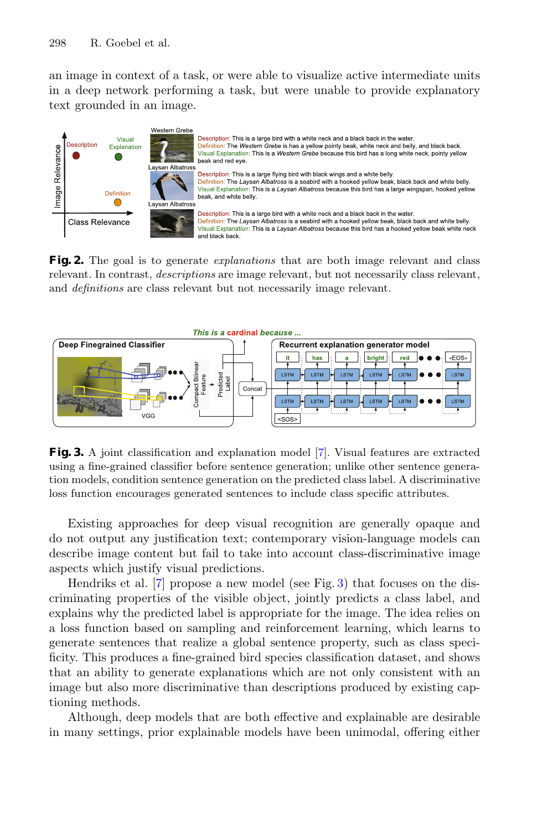an image in context of a task, or were able to visualize active intermediate units in a deep network performing a task, but were unable to provide explanatory text grounded in an image.



<span id="page-3-0"></span>**Fig. 2.** The goal is to generate *explanations* that are both image relevant and class relevant. In contrast, *descriptions* are image relevant, but not necessarily class relevant, and *definitions* are class relevant but not necessarily image relevant.



<span id="page-3-1"></span>**Fig. 3.** A joint classification and explanation model [\[7\]](#page-8-13). Visual features are extracted using a fine-grained classifier before sentence generation; unlike other sentence generation models, condition sentence generation on the predicted class label. A discriminative loss function encourages generated sentences to include class specific attributes.

Existing approaches for deep visual recognition are generally opaque and do not output any justification text; contemporary vision-language models can describe image content but fail to take into account class-discriminative image aspects which justify visual predictions.

Hendriks et al. [\[7\]](#page-8-13) propose a new model (see Fig. [3\)](#page-3-1) that focuses on the discriminating properties of the visible object, jointly predicts a class label, and explains why the predicted label is appropriate for the image. The idea relies on a loss function based on sampling and reinforcement learning, which learns to generate sentences that realize a global sentence property, such as class specificity. This produces a fine-grained bird species classification dataset, and shows that an ability to generate explanations which are not only consistent with an image but also more discriminative than descriptions produced by existing captioning methods.

Although, deep models that are both effective and explainable are desirable in many settings, prior explainable models have been unimodal, offering either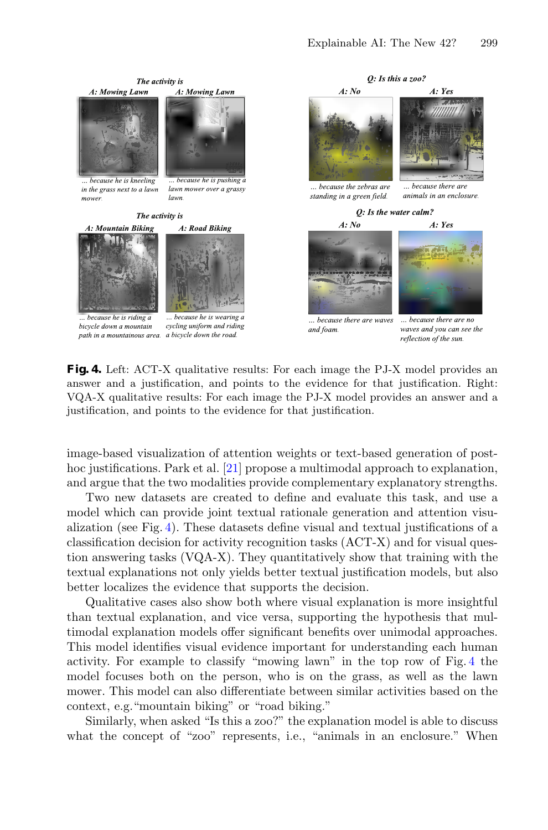

<span id="page-4-0"></span>**Fig. 4.** Left: ACT-X qualitative results: For each image the PJ-X model provides an answer and a justification, and points to the evidence for that justification. Right: VQA-X qualitative results: For each image the PJ-X model provides an answer and a justification, and points to the evidence for that justification.

image-based visualization of attention weights or text-based generation of posthoc justifications. Park et al. [\[21](#page-8-14)] propose a multimodal approach to explanation, and argue that the two modalities provide complementary explanatory strengths.

Two new datasets are created to define and evaluate this task, and use a model which can provide joint textual rationale generation and attention visualization (see Fig. [4\)](#page-4-0). These datasets define visual and textual justifications of a classification decision for activity recognition tasks (ACT-X) and for visual question answering tasks (VQA-X). They quantitatively show that training with the textual explanations not only yields better textual justification models, but also better localizes the evidence that supports the decision.

Qualitative cases also show both where visual explanation is more insightful than textual explanation, and vice versa, supporting the hypothesis that multimodal explanation models offer significant benefits over unimodal approaches. This model identifies visual evidence important for understanding each human activity. For example to classify "mowing lawn" in the top row of Fig. [4](#page-4-0) the model focuses both on the person, who is on the grass, as well as the lawn mower. This model can also differentiate between similar activities based on the context, e.g."mountain biking" or "road biking."

Similarly, when asked "Is this a zoo?" the explanation model is able to discuss what the concept of "zoo" represents, i.e., "animals in an enclosure." When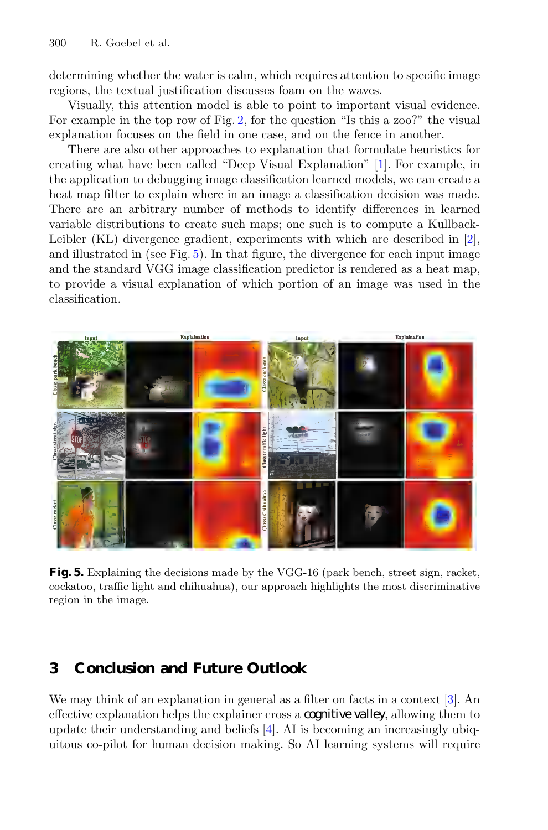determining whether the water is calm, which requires attention to specific image regions, the textual justification discusses foam on the waves.

Visually, this attention model is able to point to important visual evidence. For example in the top row of Fig. [2,](#page-3-0) for the question "Is this a zoo?" the visual explanation focuses on the field in one case, and on the fence in another.

There are also other approaches to explanation that formulate heuristics for creating what have been called "Deep Visual Explanation" [\[1](#page-7-1)]. For example, in the application to debugging image classification learned models, we can create a heat map filter to explain where in an image a classification decision was made. There are an arbitrary number of methods to identify differences in learned variable distributions to create such maps; one such is to compute a Kullback-Leibler (KL) divergence gradient, experiments with which are described in [\[2\]](#page-7-2), and illustrated in (see Fig. [5\)](#page-5-0). In that figure, the divergence for each input image and the standard VGG image classification predictor is rendered as a heat map, to provide a visual explanation of which portion of an image was used in the classification.



**Fig. 5.** Explaining the decisions made by the VGG-16 (park bench, street sign, racket, cockatoo, traffic light and chihuahua), our approach highlights the most discriminative region in the image.

## <span id="page-5-0"></span>**3 Conclusion and Future Outlook**

We may think of an explanation in general as a filter on facts in a context [\[3](#page-7-3)]. An effective explanation helps the explainer cross a *cognitive valley*, allowing them to update their understanding and beliefs [\[4](#page-7-0)]. AI is becoming an increasingly ubiquitous co-pilot for human decision making. So AI learning systems will require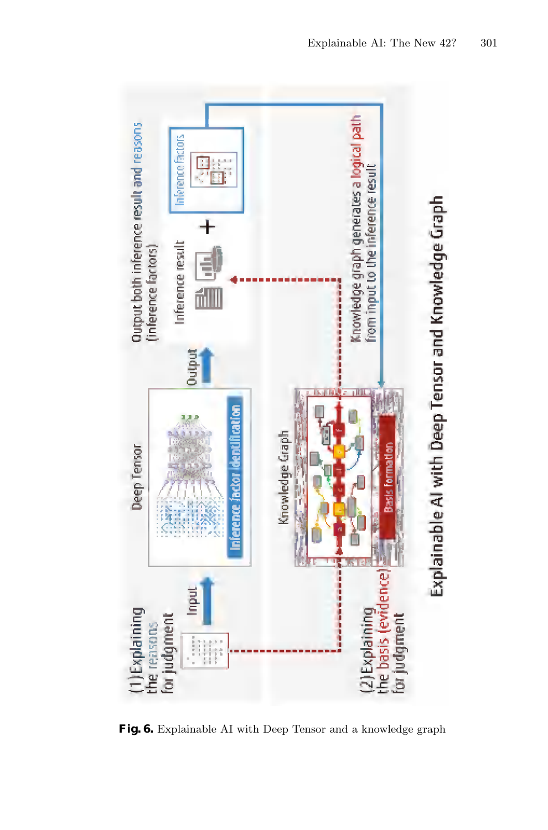

<span id="page-6-0"></span>**Fig. 6.** Explainable AI with Deep Tensor and a knowledge graph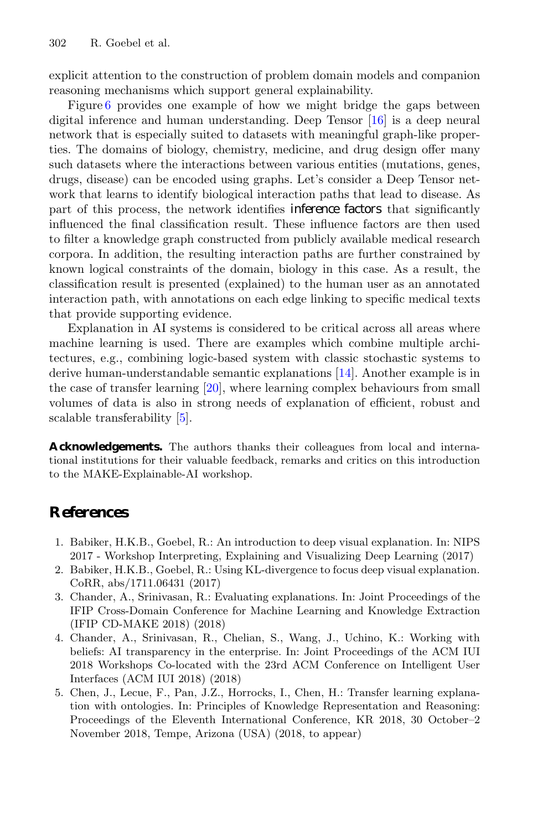explicit attention to the construction of problem domain models and companion reasoning mechanisms which support general explainability.

Figure [6](#page-6-0) provides one example of how we might bridge the gaps between digital inference and human understanding. Deep Tensor [\[16\]](#page-8-15) is a deep neural network that is especially suited to datasets with meaningful graph-like properties. The domains of biology, chemistry, medicine, and drug design offer many such datasets where the interactions between various entities (mutations, genes, drugs, disease) can be encoded using graphs. Let's consider a Deep Tensor network that learns to identify biological interaction paths that lead to disease. As part of this process, the network identifies *inference factors* that significantly influenced the final classification result. These influence factors are then used to filter a knowledge graph constructed from publicly available medical research corpora. In addition, the resulting interaction paths are further constrained by known logical constraints of the domain, biology in this case. As a result, the classification result is presented (explained) to the human user as an annotated interaction path, with annotations on each edge linking to specific medical texts that provide supporting evidence.

Explanation in AI systems is considered to be critical across all areas where machine learning is used. There are examples which combine multiple architectures, e.g., combining logic-based system with classic stochastic systems to derive human-understandable semantic explanations [\[14\]](#page-8-16). Another example is in the case of transfer learning [\[20](#page-8-17)], where learning complex behaviours from small volumes of data is also in strong needs of explanation of efficient, robust and scalable transferability [\[5\]](#page-7-4).

**Acknowledgements.** The authors thanks their colleagues from local and international institutions for their valuable feedback, remarks and critics on this introduction to the MAKE-Explainable-AI workshop.

## **References**

- <span id="page-7-1"></span>1. Babiker, H.K.B., Goebel, R.: An introduction to deep visual explanation. In: NIPS 2017 - Workshop Interpreting, Explaining and Visualizing Deep Learning (2017)
- <span id="page-7-2"></span>2. Babiker, H.K.B., Goebel, R.: Using KL-divergence to focus deep visual explanation. CoRR, abs/1711.06431 (2017)
- <span id="page-7-3"></span>3. Chander, A., Srinivasan, R.: Evaluating explanations. In: Joint Proceedings of the IFIP Cross-Domain Conference for Machine Learning and Knowledge Extraction (IFIP CD-MAKE 2018) (2018)
- <span id="page-7-0"></span>4. Chander, A., Srinivasan, R., Chelian, S., Wang, J., Uchino, K.: Working with beliefs: AI transparency in the enterprise. In: Joint Proceedings of the ACM IUI 2018 Workshops Co-located with the 23rd ACM Conference on Intelligent User Interfaces (ACM IUI 2018) (2018)
- <span id="page-7-4"></span>5. Chen, J., Lecue, F., Pan, J.Z., Horrocks, I., Chen, H.: Transfer learning explanation with ontologies. In: Principles of Knowledge Representation and Reasoning: Proceedings of the Eleventh International Conference, KR 2018, 30 October–2 November 2018, Tempe, Arizona (USA) (2018, to appear)